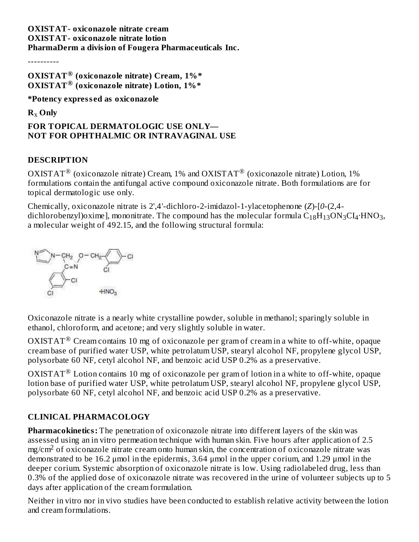#### **OXISTAT- oxiconazole nitrate cream OXISTAT- oxiconazole nitrate lotion PharmaDerm a division of Fougera Pharmaceuticals Inc.**

----------

```
OXISTAT (oxiconazole nitrate) Cream, 1%*
®
OXISTAT (oxiconazole nitrate) Lotion, 1%*
®
```
**\*Potency express ed as oxiconazole**

**R Only** x

# **FOR TOPICAL DERMATOLOGIC USE ONLY— NOT FOR OPHTHALMIC OR INTRAVAGINAL USE**

## **DESCRIPTION**

OXISTAT $^{\circledR}$  (oxiconazole nitrate) Cream, 1% and OXISTAT $^{\circledR}$  (oxiconazole nitrate) Lotion, 1% formulations contain the antifungal active compound oxiconazole nitrate. Both formulations are for topical dermatologic use only.

Chemically, oxiconazole nitrate is 2',4'-dichloro-2-imidazol-1-ylacetophenone (*Z*)-[*0*-(2,4 dichlorobenzyl)oxime], mononitrate. The compound has the molecular formula  $\rm{C_{18}H_{13}ON_{3}Cl_{4} \cdot HNO_{3}}$ , a molecular weight of 492.15, and the following structural formula:



Oxiconazole nitrate is a nearly white crystalline powder, soluble in methanol; sparingly soluble in ethanol, chloroform, and acetone; and very slightly soluble in water.

OXISTAT $^{\circledR}$  Cream contains 10 mg of oxiconazole per gram of cream in a white to off-white, opaque cream base of purified water USP, white petrolatum USP, stearyl alcohol NF, propylene glycol USP, polysorbate 60 NF, cetyl alcohol NF, and benzoic acid USP 0.2% as a preservative.

OXISTAT $^{\circledR}$  Lotion contains 10 mg of oxiconazole per gram of lotion in a white to off-white, opaque lotion base of purified water USP, white petrolatum USP, stearyl alcohol NF, propylene glycol USP, polysorbate 60 NF, cetyl alcohol NF, and benzoic acid USP 0.2% as a preservative.

## **CLINICAL PHARMACOLOGY**

**Pharmacokinetics:** The penetration of oxiconazole nitrate into different layers of the skin was assessed using an in vitro permeation technique with human skin. Five hours after application of 2.5  $mg/cm<sup>2</sup>$  of oxiconazole nitrate cream onto human skin, the concentration of oxiconazole nitrate was demonstrated to be 16.2 μmol in the epidermis, 3.64 μmol in the upper corium, and 1.29 μmol in the deeper corium. Systemic absorption of oxiconazole nitrate is low. Using radiolabeled drug, less than 0.3% of the applied dose of oxiconazole nitrate was recovered in the urine of volunteer subjects up to 5 days after application of the cream formulation.

Neither in vitro nor in vivo studies have been conducted to establish relative activity between the lotion and cream formulations.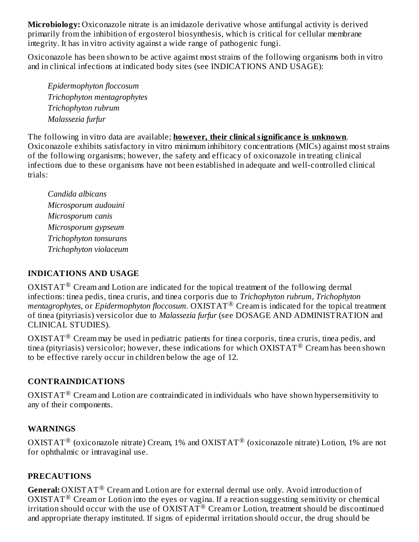**Microbiology:** Oxiconazole nitrate is an imidazole derivative whose antifungal activity is derived primarily from the inhibition of ergosterol biosynthesis, which is critical for cellular membrane integrity. It has in vitro activity against a wide range of pathogenic fungi.

Oxiconazole has been shown to be active against most strains of the following organisms both in vitro and in clinical infections at indicated body sites (see INDICATIONS AND USAGE):

*Epidermophyton floccosum Trichophyton mentagrophytes Trichophyton rubrum Malassezia furfur*

The following in vitro data are available; **however, their clinical significance is unknown**. Oxiconazole exhibits satisfactory in vitro minimum inhibitory concentrations (MICs) against most strains of the following organisms; however, the safety and efficacy of oxiconazole in treating clinical infections due to these organisms have not been established in adequate and well-controlled clinical trials:

*Candida albicans Microsporum audouini Microsporum canis Microsporum gypseum Trichophyton tonsurans Trichophyton violaceum*

### **INDICATIONS AND USAGE**

 $\mathrm{OXISTAT}^{\circledR}$  Cream and Lotion are indicated for the topical treatment of the following dermal infections: tinea pedis, tinea cruris, and tinea corporis due to *Trichophyton rubrum, Trichophyton* mentagrophytes, or *Epidermophyton floccosum.* OXISTAT<sup>®</sup> Cream is indicated for the topical treatment of tinea (pityriasis) versicolor due to *Malassezia furfur* (see DOSAGE AND ADMINISTRATION and CLINICAL STUDIES).

 $\rm OXISTAT^{\circledast}$  Cream may be used in pediatric patients for tinea corporis, tinea cruris, tinea pedis, and tinea (pityriasis) versicolor; however, these indications for which  $\overline{\text{OXISTAT}^{\circledast}}$  Cream has been shown to be effective rarely occur in children below the age of 12.

## **CONTRAINDICATIONS**

 $\mathrm{OXISTAT}^{\circledR}$  Cream and Lotion are contraindicated in individuals who have shown hypersensitivity to any of their components.

## **WARNINGS**

OXISTAT $^{\circledR}$  (oxiconazole nitrate) Cream, 1% and OXISTAT $^{\circledR}$  (oxiconazole nitrate) Lotion, 1% are not for ophthalmic or intravaginal use.

### **PRECAUTIONS**

General: OXISTAT<sup>®</sup> Cream and Lotion are for external dermal use only. Avoid introduction of OXISTAT<sup>®</sup> Cream or Lotion into the eyes or vagina. If a reaction suggesting sensitivity or chemical irritation should occur with the use of  $\overline{OXISTAT}^{\circledR}$  Cream or Lotion, treatment should be discontinued and appropriate therapy instituted. If signs of epidermal irritation should occur, the drug should be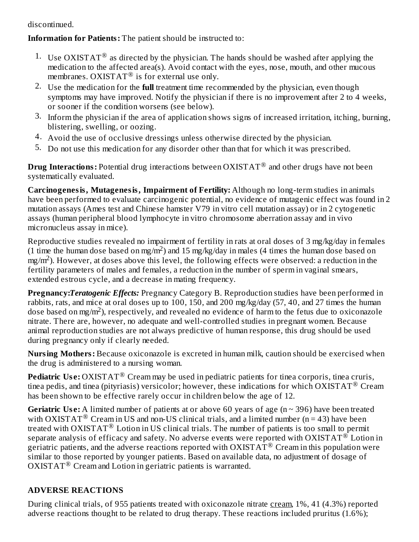discontinued.

**Information for Patients:** The patient should be instructed to:

- 1. Use OXISTAT<sup>®</sup> as directed by the physician. The hands should be washed after applying the medication to the affected area(s). Avoid contact with the eyes, nose, mouth, and other mucous membranes. OXISTAT<sup>®</sup> is for external use only.
- 2. Use the medication for the **full** treatment time recommended by the physician, even though symptoms may have improved. Notify the physician if there is no improvement after 2 to 4 weeks, or sooner if the condition worsens (see below).
- 3. Inform the physician if the area of application shows signs of increased irritation, itching, burning, blistering, swelling, or oozing.
- 4. Avoid the use of occlusive dressings unless otherwise directed by the physician.
- 5. Do not use this medication for any disorder other than that for which it was prescribed.

 $\mathbf{Drug\ Interactions:}$  Potential drug interactions between  $\mathrm{OXISTAT}^{\circledR}$  and other drugs have not been systematically evaluated.

**Carcinogenesis, Mutagenesis, Impairment of Fertility:** Although no long-term studies in animals have been performed to evaluate carcinogenic potential, no evidence of mutagenic effect was found in 2 mutation assays (Ames test and Chinese hamster V79 in vitro cell mutation assay) or in 2 cytogenetic assays (human peripheral blood lymphocyte in vitro chromosome aberration assay and in vivo micronucleus assay in mice).

Reproductive studies revealed no impairment of fertility in rats at oral doses of 3 mg/kg/day in females (1 time the human dose based on mg/m<sup>2</sup>) and 15 mg/kg/day in males (4 times the human dose based on  $mg/m<sup>2</sup>$ ). However, at doses above this level, the following effects were observed: a reduction in the fertility parameters of males and females, a reduction in the number of sperm in vaginal smears, extended estrous cycle, and a decrease in mating frequency.

**Pregnancy:***Teratogenic Effects:* Pregnancy Category B. Reproduction studies have been performed in rabbits, rats, and mice at oral doses up to 100, 150, and 200 mg/kg/day (57, 40, and 27 times the human dose based on mg/m<sup>2</sup>), respectively, and revealed no evidence of harm to the fetus due to oxiconazole nitrate. There are, however, no adequate and well-controlled studies in pregnant women. Because animal reproduction studies are not always predictive of human response, this drug should be used during pregnancy only if clearly needed.

**Nursing Mothers:** Because oxiconazole is excreted in human milk, caution should be exercised when the drug is administered to a nursing woman.

**Pediatric Use:** OXISTAT® Cream may be used in pediatric patients for tinea corporis, tinea cruris, tinea pedis, and tinea (pityriasis) versicolor; however, these indications for which  $\rm OXISTAT^@$  Cream has been shown to be effective rarely occur in children below the age of 12.

**Geriatric** Use: A limited number of patients at or above 60 years of age ( $n \sim 396$ ) have been treated with OXISTAT<sup>®</sup> Cream in US and non-US clinical trials, and a limited number (n = 43) have been treated with OXISTAT  $^\circledR$  Lotion in US clinical trials. The number of patients is too small to permit separate analysis of efficacy and safety. No adverse events were reported with OXISTAT  $^\circledR$  Lotion in geriatric patients, and the adverse reactions reported with OXISTAT  $^\circledR$  Cream in this population were similar to those reported by younger patients. Based on available data, no adjustment of dosage of  $OXISTAT^@$  Cream and Lotion in geriatric patients is warranted.

# **ADVERSE REACTIONS**

During clinical trials, of 955 patients treated with oxiconazole nitrate cream, 1%, 41 (4.3%) reported adverse reactions thought to be related to drug therapy. These reactions included pruritus (1.6%);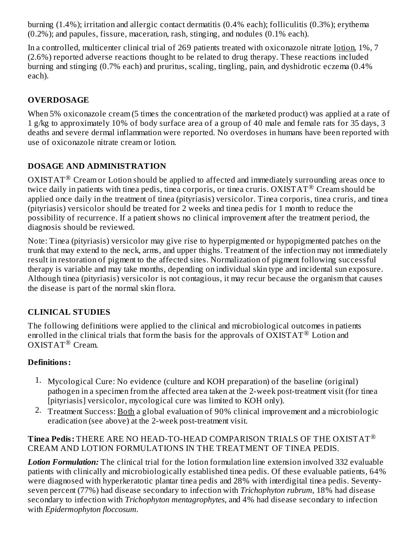burning (1.4%); irritation and allergic contact dermatitis (0.4% each); folliculitis (0.3%); erythema (0.2%); and papules, fissure, maceration, rash, stinging, and nodules (0.1% each).

In a controlled, multicenter clinical trial of 269 patients treated with oxiconazole nitrate lotion, 1%, 7 (2.6%) reported adverse reactions thought to be related to drug therapy. These reactions included burning and stinging (0.7% each) and pruritus, scaling, tingling, pain, and dyshidrotic eczema (0.4% each).

# **OVERDOSAGE**

When 5% oxiconazole cream (5 times the concentration of the marketed product) was applied at a rate of 1 g/kg to approximately 10% of body surface area of a group of 40 male and female rats for 35 days, 3 deaths and severe dermal inflammation were reported. No overdoses in humans have been reported with use of oxiconazole nitrate cream or lotion.

# **DOSAGE AND ADMINISTRATION**

 $\rm OXISTAT^@$  Cream or Lotion should be applied to affected and immediately surrounding areas once to twice daily in patients with tinea pedis, tinea corporis, or tinea cruris.  $\overline{OXISTAT}$ <sup>®</sup> Cream should be applied once daily in the treatment of tinea (pityriasis) versicolor. Tinea corporis, tinea cruris, and tinea (pityriasis) versicolor should be treated for 2 weeks and tinea pedis for 1 month to reduce the possibility of recurrence. If a patient shows no clinical improvement after the treatment period, the diagnosis should be reviewed.

Note: Tinea (pityriasis) versicolor may give rise to hyperpigmented or hypopigmented patches on the trunk that may extend to the neck, arms, and upper thighs. Treatment of the infection may not immediately result in restoration of pigment to the affected sites. Normalization of pigment following successful therapy is variable and may take months, depending on individual skin type and incidental sun exposure. Although tinea (pityriasis) versicolor is not contagious, it may recur because the organism that causes the disease is part of the normal skin flora.

# **CLINICAL STUDIES**

The following definitions were applied to the clinical and microbiological outcomes in patients enrolled in the clinical trials that form the basis for the approvals of  $\overline{OXISTAT}$ <sup>®</sup> Lotion and  $OXISTAT^{\circledR}$  Cream.

# **Definitions:**

- 1. Mycological Cure: No evidence (culture and KOH preparation) of the baseline (original) pathogen in a specimen from the affected area taken at the 2-week post-treatment visit (for tinea [pityriasis] versicolor, mycological cure was limited to KOH only).
- <sup>2.</sup> Treatment Success: <u>Both</u> a global evaluation of 90% clinical improvement and a microbiologic eradication (see above) at the 2-week post-treatment visit.

## **Tinea Pedis:** THERE ARE NO HEAD-TO-HEAD COMPARISON TRIALS OF THE OXISTAT ®CREAM AND LOTION FORMULATIONS IN THE TREATMENT OF TINEA PEDIS.

*Lotion Formulation:* The clinical trial for the lotion formulation line extension involved 332 evaluable patients with clinically and microbiologically established tinea pedis. Of these evaluable patients, 64% were diagnosed with hyperkeratotic plantar tinea pedis and 28% with interdigital tinea pedis. Seventyseven percent (77%) had disease secondary to infection with *Trichophyton rubrum,* 18% had disease secondary to infection with *Trichophyton mentagrophytes*, and 4% had disease secondary to infection with *Epidermophyton floccosum.*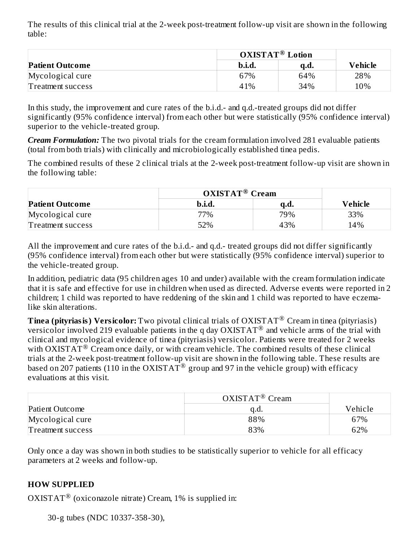The results of this clinical trial at the 2-week post-treatment follow-up visit are shown in the following table:

|                        | <b>OXISTAT<sup>®</sup></b> Lotion |      |         |
|------------------------|-----------------------------------|------|---------|
| <b>Patient Outcome</b> | b.i.d.                            | a.a. | Vehicle |
| Mycological cure       | 67%                               | 64%  | 28%     |
| Treatment success      | 41%                               | 34%  | 10%     |

In this study, the improvement and cure rates of the b.i.d.- and q.d.-treated groups did not differ significantly (95% confidence interval) from each other but were statistically (95% confidence interval) superior to the vehicle-treated group.

*Cream Formulation:* The two pivotal trials for the cream formulation involved 281 evaluable patients (total from both trials) with clinically and microbiologically established tinea pedis.

The combined results of these 2 clinical trials at the 2-week post-treatment follow-up visit are shown in the following table:

|                        | $OXISTAT^{\circledR}$ Cream |      |         |
|------------------------|-----------------------------|------|---------|
| <b>Patient Outcome</b> | b.i.d.                      | a.a. | Vehicle |
| Mycological cure       | 77%                         | 79%  | 33%     |
| Treatment success      | 52%                         | 43%  | 14%     |

All the improvement and cure rates of the b.i.d.- and q.d.- treated groups did not differ significantly (95% confidence interval) from each other but were statistically (95% confidence interval) superior to the vehicle-treated group.

In addition, pediatric data (95 children ages 10 and under) available with the cream formulation indicate that it is safe and effective for use in children when used as directed. Adverse events were reported in 2 children; 1 child was reported to have reddening of the skin and 1 child was reported to have eczemalike skin alterations.

**Tinea (pityriasis) Versicolor:** Two pivotal clinical trials of OXISTAT<sup>®</sup> Cream in tinea (pityriasis) versicolor involved 219 evaluable patients in the q day OXISTAT  $\scriptstyle\rm{@}$  and vehicle arms of the trial with clinical and mycological evidence of tinea (pityriasis) versicolor. Patients were treated for 2 weeks with OXISTAT<sup>®</sup> Cream once daily, or with cream vehicle. The combined results of these clinical trials at the 2-week post-treatment follow-up visit are shown in the following table. These results are based on 207 patients (110 in the OXISTAT  $^{\circledR}$  group and 97 in the vehicle group) with efficacy evaluations at this visit.

|                   | $OXISTAT^{\circledR}$ Cream |         |
|-------------------|-----------------------------|---------|
| Patient Outcome   | q.d.                        | Vehicle |
| Mycological cure  | 88%                         | 67%     |
| Treatment success | 83%                         | 62%     |

Only once a day was shown in both studies to be statistically superior to vehicle for all efficacy parameters at 2 weeks and follow-up.

### **HOW SUPPLIED**

OXISTAT<sup>®</sup> (oxiconazole nitrate) Cream, 1% is supplied in:

30-g tubes (NDC 10337-358-30),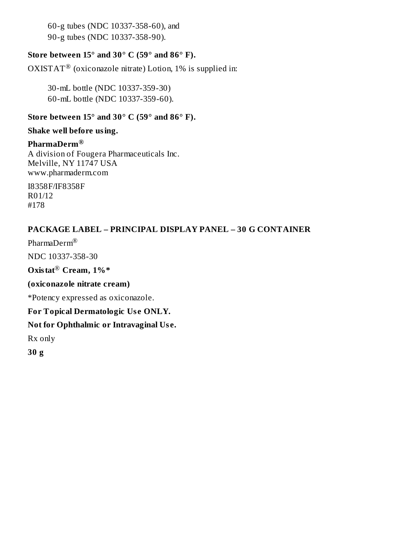60-g tubes (NDC 10337-358-60), and 90-g tubes (NDC 10337-358-90).

## **Store between 15° and 30° C (59° and 86° F).**

OXISTAT<sup>®</sup> (oxiconazole nitrate) Lotion, 1% is supplied in:

30-mL bottle (NDC 10337-359-30) 60-mL bottle (NDC 10337-359-60).

#### **Store between 15° and 30° C (59° and 86° F).**

#### **Shake well before using.**

## **PharmaDerm ®**

A division of Fougera Pharmaceuticals Inc. Melville, NY 11747 USA www.pharmaderm.com

I8358F/IF8358F R01/12 #178

## **PACKAGE LABEL – PRINCIPAL DISPLAY PANEL – 30 G CONTAINER**

Pharma $\mathop{\rm Der}\nolimits^{\circledR}$ 

NDC 10337-358-30

 $Ox$ istat® Cream, 1%\*

#### **(oxiconazole nitrate cream)**

\*Potency expressed as oxiconazole.

### **For Topical Dermatologic Us e ONLY.**

## **Not for Ophthalmic or Intravaginal Us e.**

Rx only

**30 g**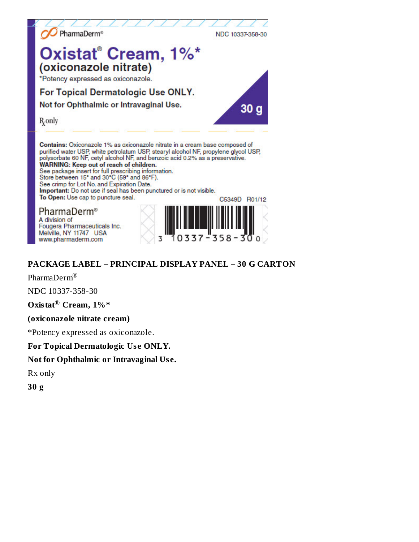

See crimp for Lot No. and Expiration Date.

Important: Do not use if seal has been punctured or is not visible. To Open: Use cap to puncture seal.

PharmaDerm<sup>®</sup> A division of Fougera Pharmaceuticals Inc. Melville, NY 11747 USA www.pharmaderm.com



# **PACKAGE LABEL - PRINCIPAL DISPLAY PANEL - 30 G CARTON**

PharmaDerm<sup>®</sup>

NDC 10337-358-30

Oxistat<sup>®</sup> Cream, 1%\*

#### (oxiconazole nitrate cream)

\*Potency expressed as oxiconazole.

### For Topical Dermatologic Use ONLY.

### Not for Ophthalmic or Intravaginal Use.

Rx only

 $30<sub>g</sub>$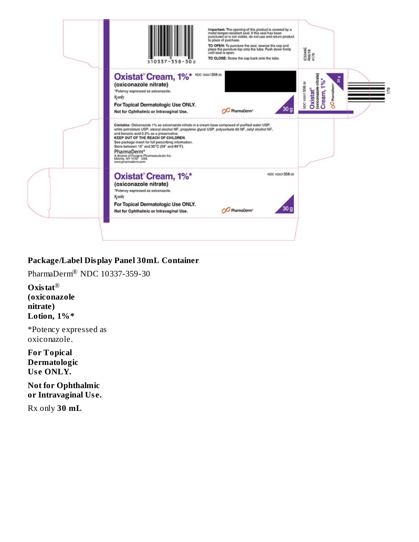| 310337-358                                                                                                                                                                                                                                                                                                                                                                                                                                                                                                               | Important: The opening of this product is covered by a<br>metal tamper-resistant seal. If this seal has been<br>punctured or is not visible, do not use and return product<br>to place of purchase.<br>TO OPEN: To puncture the seal, reverse the cap and<br>place the puncture-top onto the tube. Push down firmly<br>until seal is open.<br>TO CLOSE: Screw the cap back onto the tube. | IC5349E<br>R06/18<br>#179                                                                                  |
|--------------------------------------------------------------------------------------------------------------------------------------------------------------------------------------------------------------------------------------------------------------------------------------------------------------------------------------------------------------------------------------------------------------------------------------------------------------------------------------------------------------------------|-------------------------------------------------------------------------------------------------------------------------------------------------------------------------------------------------------------------------------------------------------------------------------------------------------------------------------------------------------------------------------------------|------------------------------------------------------------------------------------------------------------|
| Oxistat <sup>®</sup> Cream, 1% <sup>*</sup> <sup>NDC 10037-358-30</sup><br>(oxiconazole nitrate)<br>*Potency expressed as oxiconazole.<br><b>R</b> <sub>only</sub><br>For Topical Dermatologic Use ONLY.<br>Not for Ophthalmic or Intravaginal Use.                                                                                                                                                                                                                                                                      | 30 g<br>PharmaDerm <sup>®</sup>                                                                                                                                                                                                                                                                                                                                                           | nitrate<br>ō<br>ន<br>್ಲಿ<br>NDC 10337-358-30<br>Oxistat <sup>®</sup><br>(exiconazole u<br>Cream,<br>£<br>8 |
| Contains: Oxiconazole 1% as oxiconazole nitrate in a cream base composed of purified water USP.<br>white petrolatum USP, stearyl alcohol NF, propylene glycol USP, polysorbate 60 NF, cetyl alcohol NF,<br>and benzoic acid 0.2% as a preservative.<br>KEEP OUT OF THE REACH OF CHILDREN.<br>See package insert for full prescribing information.<br>Store between 15° and 30°C (59° and 86°F).<br>PharmaDerm <sup>®</sup><br>A division of Fougera Pharmaceuticals Inc.<br>Melville, NY 11747 USA<br>www.pharmaderm.com |                                                                                                                                                                                                                                                                                                                                                                                           |                                                                                                            |
| Oxistat <sup>®</sup> Cream, 1%*<br>(oxiconazole nitrate)<br>*Potency expressed as oxiconazole.<br><b>R</b> <sub>conly</sub><br>For Topical Dermatologic Use ONLY.                                                                                                                                                                                                                                                                                                                                                        | NDC 10337-358-30                                                                                                                                                                                                                                                                                                                                                                          |                                                                                                            |

## Package/Label Display Panel 30mL Container

PharmaDerm® NDC 10337-359-30

Oxistat $^{\circledR}$ (oxiconazole nitrate) Lotion,  $1\%$ \*

\*Potency expressed as oxiconazole.

**For Topical** Dermatologic Use ONLY.

**Not for Ophthalmic** or Intravaginal Use.

Rx only 30 mL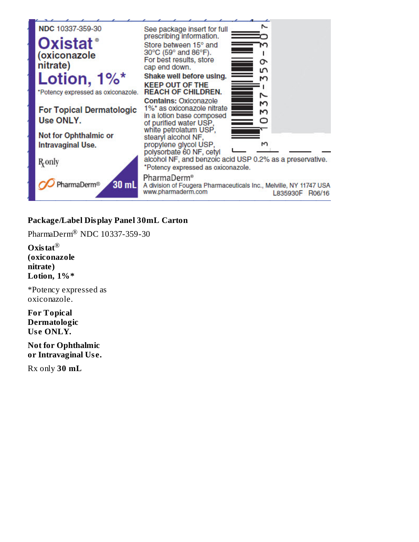

### Package/Label Display Panel 30mL Carton

PharmaDerm® NDC 10337-359-30

Oxistat<sup>®</sup> (oxiconazole nitrate) Lotion, 1%\*

\*Potency expressed as oxiconazole.

**For Topical** Dermatologic Use ONLY.

**Not for Ophthalmic** or Intravaginal Use.

Rx only 30 mL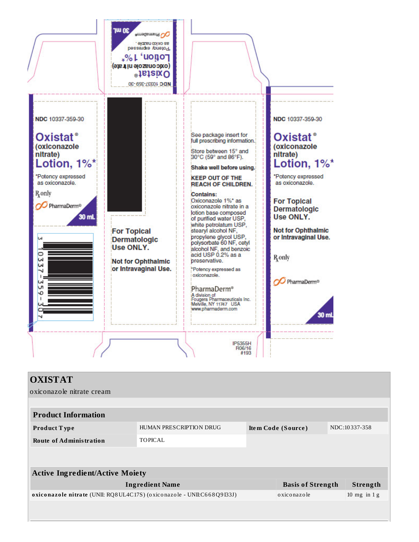

| <b>OXISTAT</b>                                                         |                         |                          |                |
|------------------------------------------------------------------------|-------------------------|--------------------------|----------------|
| oxiconazole nitrate cream                                              |                         |                          |                |
|                                                                        |                         |                          |                |
| <b>Product Information</b>                                             |                         |                          |                |
| Product Type                                                           | HUMAN PRESCRIPTION DRUG | Item Code (Source)       | NDC:10337-358  |
| <b>Route of Administration</b>                                         | <b>TOPICAL</b>          |                          |                |
|                                                                        |                         |                          |                |
|                                                                        |                         |                          |                |
| <b>Active Ingredient/Active Moiety</b>                                 |                         |                          |                |
|                                                                        | <b>Ingredient Name</b>  | <b>Basis of Strength</b> | Strength       |
| oxiconazole nitrate (UNII: RQ8UL4C17S) (oxiconazole - UNII:C668Q9I33J) |                         | oxiconazole              | 10 mg in $1 g$ |
|                                                                        |                         |                          |                |
|                                                                        |                         |                          |                |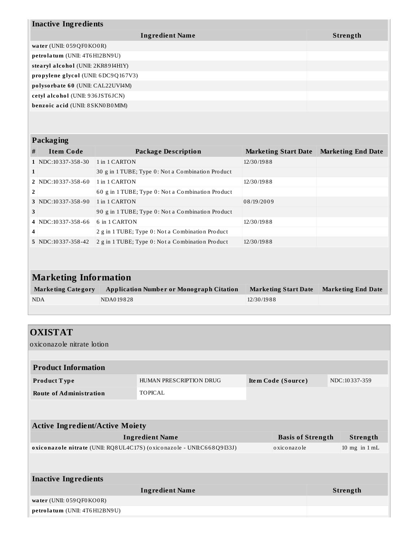| <b>Inactive Ingredients</b>        |  |  |  |  |
|------------------------------------|--|--|--|--|
| Strength                           |  |  |  |  |
|                                    |  |  |  |  |
|                                    |  |  |  |  |
| stearyl alcohol (UNII: 2KR89I4H1Y) |  |  |  |  |
|                                    |  |  |  |  |
|                                    |  |  |  |  |
|                                    |  |  |  |  |
|                                    |  |  |  |  |
|                                    |  |  |  |  |

### **Packaging**

| # | <b>Item Code</b>           | Package Description                               | <b>Marketing Start Date</b> | <b>Marketing End Date</b> |
|---|----------------------------|---------------------------------------------------|-----------------------------|---------------------------|
|   | $1$ NDC: 10 337 - 358 - 30 | 1 in 1 CARTON                                     | 12/30/1988                  |                           |
|   |                            | 30 g in 1 TUBE; Type 0: Not a Combination Product |                             |                           |
|   | $2$ NDC: 10 337-358-60     | 1 in 1 CARTON                                     | 12/30/1988                  |                           |
| 2 |                            | 60 g in 1 TUBE; Type 0: Not a Combination Product |                             |                           |
|   | $3$ NDC: 10 337-358-90     | 1 in 1 CARTON                                     | 08/19/2009                  |                           |
| 3 |                            | 90 g in 1 TUBE; Type 0: Not a Combination Product |                             |                           |
|   | $4$ NDC:10337-358-66       | 6 in 1 CARTON                                     | 12/30/1988                  |                           |
| 4 |                            | 2 g in 1 TUBE; Type 0: Not a Combination Product  |                             |                           |
|   | 5 NDC:10337-358-42         | 2 g in 1 TUBE; Type 0: Not a Combination Product  | 12/30/1988                  |                           |

| <b>Marketing Information</b> |                                                 |                             |                           |  |
|------------------------------|-------------------------------------------------|-----------------------------|---------------------------|--|
| <b>Marketing Category</b>    | <b>Application Number or Monograph Citation</b> | <b>Marketing Start Date</b> | <b>Marketing End Date</b> |  |
| <b>NDA</b>                   | NDA019828                                       | 12/30/1988                  |                           |  |
|                              |                                                 |                             |                           |  |

| <b>OXISTAT</b>                                                         |                         |                    |                          |                   |
|------------------------------------------------------------------------|-------------------------|--------------------|--------------------------|-------------------|
| oxiconazole nitrate lotion                                             |                         |                    |                          |                   |
|                                                                        |                         |                    |                          |                   |
| <b>Product Information</b>                                             |                         |                    |                          |                   |
| Product Type                                                           | HUMAN PRESCRIPTION DRUG | Item Code (Source) |                          | NDC:10337-359     |
| <b>Route of Administration</b>                                         | <b>TOPICAL</b>          |                    |                          |                   |
|                                                                        |                         |                    |                          |                   |
|                                                                        |                         |                    |                          |                   |
| <b>Active Ingredient/Active Moiety</b>                                 |                         |                    |                          |                   |
|                                                                        | <b>Ingredient Name</b>  |                    | <b>Basis of Strength</b> | Strength          |
| oxiconazole nitrate (UNII: RQ8UL4C17S) (oxiconazole - UNII:C668Q9I33J) |                         | oxiconazole        |                          | $10$ mg in $1$ mL |
|                                                                        |                         |                    |                          |                   |
| <b>Inactive Ingredients</b>                                            |                         |                    |                          |                   |
|                                                                        |                         |                    |                          |                   |
|                                                                        | <b>Ingredient Name</b>  |                    |                          | Strength          |
| water (UNII: 059QF0KO0R)                                               |                         |                    |                          |                   |
| petrolatum (UNII: 4T6H12BN9U)                                          |                         |                    |                          |                   |
|                                                                        |                         |                    |                          |                   |